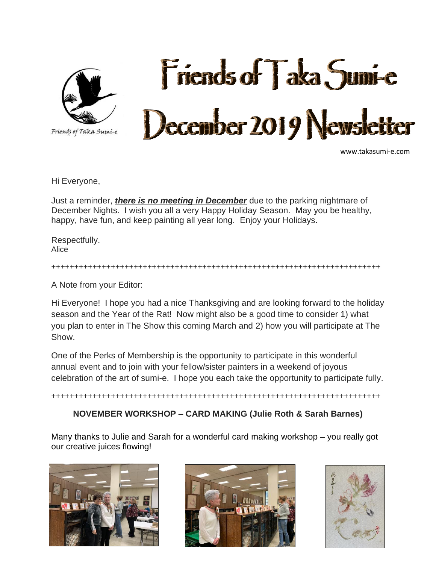

www.takasumi-e.com

Hi Everyone,

Just a reminder, *there is no meeting in December* due to the parking nightmare of December Nights. I wish you all a very Happy Holiday Season. May you be healthy, happy, have fun, and keep painting all year long. Enjoy your Holidays.

Respectfully. Alice

## ++++++++++++++++++++++++++++++++++++++++++++++++++++++++++++++++++++++++

A Note from your Editor:

Hi Everyone! I hope you had a nice Thanksgiving and are looking forward to the holiday season and the Year of the Rat! Now might also be a good time to consider 1) what you plan to enter in The Show this coming March and 2) how you will participate at The Show.

One of the Perks of Membership is the opportunity to participate in this wonderful annual event and to join with your fellow/sister painters in a weekend of joyous celebration of the art of sumi-e. I hope you each take the opportunity to participate fully.

++++++++++++++++++++++++++++++++++++++++++++++++++++++++++++++++++++++++

## **NOVEMBER WORKSHOP – CARD MAKING (Julie Roth & Sarah Barnes)**

Many thanks to Julie and Sarah for a wonderful card making workshop – you really got our creative juices flowing!